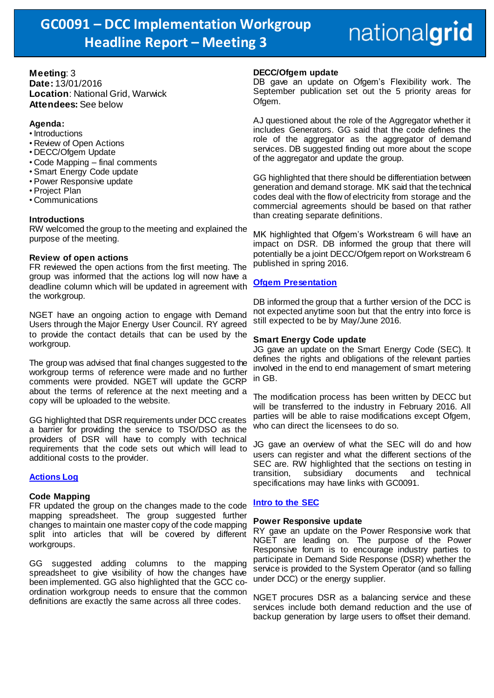## nationalgrid

#### **Meeting**: 3 **Date:** 13/01/2016 **Location**: National Grid, Warwick **Attendees:** See below

#### **Agenda:**

- Introductions
- Review of Open Actions
- DECC/Ofgem Update
- Code Mapping final comments
- Smart Energy Code update
- Power Responsive update
- Project Plan
- Communications

#### **Introductions**

RW welcomed the group to the meeting and explained the purpose of the meeting.

#### **Review of open actions**

FR reviewed the open actions from the first meeting. The group was informed that the actions log will now have a deadline column which will be updated in agreement with the workgroup.

NGET have an ongoing action to engage with Demand Users through the Major Energy User Council. RY agreed to provide the contact details that can be used by the workgroup.

The group was advised that final changes suggested to the workgroup terms of reference were made and no further comments were provided. NGET will update the GCRP about the terms of reference at the next meeting and a copy will be uploaded to the website.

GG highlighted that DSR requirements under DCC creates a barrier for providing the service to TSO/DSO as the providers of DSR will have to comply with technical requirements that the code sets out which will lead to additional costs to the provider.

#### **[Actions Log](http://www2.nationalgrid.com/WorkArea/DownloadAsset.aspx?id=44299)**

#### **Code Mapping**

FR updated the group on the changes made to the code mapping spreadsheet. The group suggested further changes to maintain one master copy of the code mapping split into articles that will be covered by different workgroups.

GG suggested adding columns to the mapping spreadsheet to give visibility of how the changes have been implemented. GG also highlighted that the GCC coordination workgroup needs to ensure that the common definitions are exactly the same across all three codes.

#### **DECC/Ofgem update**

DB gave an update on Ofgem's Flexibility work. The September publication set out the 5 priority areas for Ofgem.

AJ questioned about the role of the Aggregator whether it includes Generators. GG said that the code defines the role of the aggregator as the aggregator of demand services. DB suggested finding out more about the scope of the aggregator and update the group.

GG highlighted that there should be differentiation between generation and demand storage. MK said that the technical codes deal with the flow of electricity from storage and the commercial agreements should be based on that rather than creating separate definitions.

MK highlighted that Ofgem's Workstream 6 will have an impact on DSR. DB informed the group that there will potentially be a joint DECC/Ofgem report on Workstream 6 published in spring 2016.

### **[Ofgem Presentation](http://www2.nationalgrid.com/WorkArea/DownloadAsset.aspx?id=44855)**

DB informed the group that a further version of the DCC is not expected anytime soon but that the entry into force is still expected to be by May/June 2016.

#### **Smart Energy Code update**

JG gave an update on the Smart Energy Code (SEC). It defines the rights and obligations of the relevant parties involved in the end to end management of smart metering in GB.

The modification process has been written by DECC but will be transferred to the industry in February 2016. All parties will be able to raise modifications except Ofgem, who can direct the licensees to do so.

JG gave an overview of what the SEC will do and how users can register and what the different sections of the SEC are. RW highlighted that the sections on testing in transition, subsidiary documents and technical specifications may have links with GC0091.

#### **[Intro to the SEC](http://www2.nationalgrid.com/WorkArea/DownloadAsset.aspx?id=44854)**

#### **Power Responsive update**

RY gave an update on the Power Responsive work that NGET are leading on. The purpose of the Power Responsive forum is to encourage industry parties to participate in Demand Side Response (DSR) whether the service is provided to the System Operator (and so falling under DCC) or the energy supplier.

NGET procures DSR as a balancing service and these services include both demand reduction and the use of backup generation by large users to offset their demand.